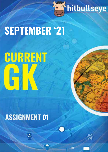

# **SEPTEMBER '21**

# CURRENT

## **ASSIGNMENT 01**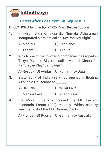

#### **Career After +2 Current GK Sep Test 01**

**DIRECTIONS** *for questions 1-25: Mark the best option:*

**1.** In which state of India did Nirmala Sitharaman inaugurated a project called 'My Pad, My Right'?

| A) Manipur | B) Nagaland |
|------------|-------------|
|            |             |

- C) Assam D) Tripura
- **2.** Which one of the following companies has roped in Tokyo Olympic Silver-medalist Mirabai Chanu for its "Stay in Play" campaign?

A) Reebok B) Adidas C) Puma D) Bata

**3.** State Bank of India (SBI) has opened a floating ATM on a Houseboat at \_\_\_\_\_\_\_.

A) Dal Lake B) Wular Lake

C) Mansar Lake D) Khanpursar

**4.** PM Modi virtually addressed the 6th Eastern Economic Forum (EEF) recently. Which country was the host of the EEF Summit 2021?

A) France B) Russia C) GermanyD) Australia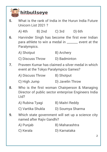

**5.** What is the rank of India in the Hurun India Future Unicorn List 2021 ?

A) 4th B) 2nd C) 3rd D) 6th

- **6.** Harvinder Singh has become the first ever Indian para athlete to win a medal in \_\_\_\_\_\_\_ event at the Paralympics.
	- A) Shotput B) Archery
	- C) Discuss Throw D) Badminton
- **7.** Praveen Kumar has claimed a silver medal in which event at the Tokyo Paralympics Games?

| A) Discuss Throw | B) Shotput |
|------------------|------------|
|------------------|------------|

- C) High Jump D) Javelin Throw
- **8.** Who is the first woman Chairperson & Managing Director of public sector enterprise Engineers India Ltd?
	- A) Rubina Tyagi B) Maitri Reddy
	- C) Vartika Shukla D) Soumya Sharma
- **9.** Which state government will set up a science city named after Rajiv Gandhi?
	- A) Punjab B) Maharashtra
	- C) Kerala D) Karnataka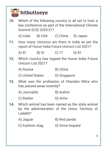| <b>hitbullseye</b> |                                                                                                                                     |                  |                          |              |  |  |
|--------------------|-------------------------------------------------------------------------------------------------------------------------------------|------------------|--------------------------|--------------|--|--|
| 10 <sub>1</sub>    | Which of the following country is all set to host a<br>key conference as part of the International Climate<br>Summit (ICS) 2020-21? |                  |                          |              |  |  |
|                    | A) India                                                                                                                            |                  | B) USA C) China D) Japan |              |  |  |
| 11.                | How many Unicorns are there in India as per the<br>report of Hurun India Future Unicorn List 2021?                                  |                  |                          |              |  |  |
|                    | $A)$ 91                                                                                                                             | B) 51            | $C)$ 71                  | D)81         |  |  |
|                    | 12. Which country has topped the Hurun India Future<br>Unicorn List 2021?                                                           |                  |                          |              |  |  |
|                    | A) Russia                                                                                                                           |                  | B) China                 |              |  |  |
|                    |                                                                                                                                     | C) United States | D) Singapore             |              |  |  |
|                    | 13. What was the profession of Chandan Mitra who<br>has passed away recently?                                                       |                  |                          |              |  |  |
|                    | A) Journalist                                                                                                                       |                  | B) Author                |              |  |  |
|                    | C) Banker                                                                                                                           |                  | D) Actor                 |              |  |  |
| 14.                | Which animal has been named as the state animal<br>by the administration of the Union Territory of<br>Ladakh?                       |                  |                          |              |  |  |
|                    | A) Jaguar                                                                                                                           |                  |                          | B) Red panda |  |  |
|                    | C) Kashmir stag                                                                                                                     |                  | D) Snow leopard          |              |  |  |
|                    |                                                                                                                                     |                  |                          |              |  |  |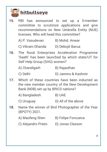

- **15.** RBI has announced to set up a 5-member committee to scrutinize applications and give recommendations on New Umbrella Entity (NUE) licenses. Who will head this committee?
	- A) P. Vasudevan B) Mohd. Anwar
	- C) Vikram Dhanda D) Debojit Barua
- **16.** The Rural Enterprises Acceleration Programme 'Saath' has been launched by which state/UT for Self Help Group (SHG) women?
	- A) Chandigarh B) Rajasthan
	- C) Delhi D) Jammu & Kashmir
- **17.** Which of these countries have been inducted as the new member country of the New Development Bank (NDB) set up by BRICS nations?
	- A) Bangladesh B) UAE
	- C) Uruguay D) All of the above
- **18.** Name the winner of Bird Photographer of the Year (BPOTY) 2021.
	- A) Maofeng Shen B) Felipe Foncueva
	- C) Alejandro Prieto D) Jonas Classon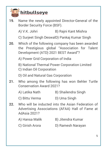

**19.** Name the newly appointed Director-General of the Border Security Force (BSF).

A) V.K. Johri B) Rajni Kant Mishra

C) Surjeet Singh DeswalD) Pankaj Kumar Singh

**20.** Which of the following company has been awarded the Prestigious global "Association for Talent Development (ATD) 2021 BEST Award"?

A) Power Grid Corporation of India

B) National Thermal Power Corporation Limited

C) Indian Oil Corporation

D) Oil and Natural Gas Corporation

- **21.** Who among the following has won Behler Turtle Conservation Award 2021?
	- A) Latika Nath B) Shailendra Singh
	- C) Bittu Verma D) Uma Singh
- **22.** Who will be inducted into the Asian Federation of Advertising Associations (AFAA) Hall of Fame at AdAsia 2021?
	- A) Hansa Malik B) Jitendra Kumar
	- C) Girish Arora D) Ramesh Narayan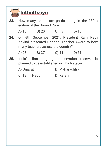

- **23.** How many teams are participating in the 130th edition of the Durand Cup? A) 18 B) 20 C) 15 D) 16 **24.** On 5th September 2021, President Ram Nath Kovind presented National Teacher Award to how many teachers across the country? A) 28 B) 37 C) 44 D) 51 **25.** India's first dugong conservation reserve is planned to be established in which state? A) Gujarat B) Maharashtra
	- C) Tamil Nadu D) Kerala